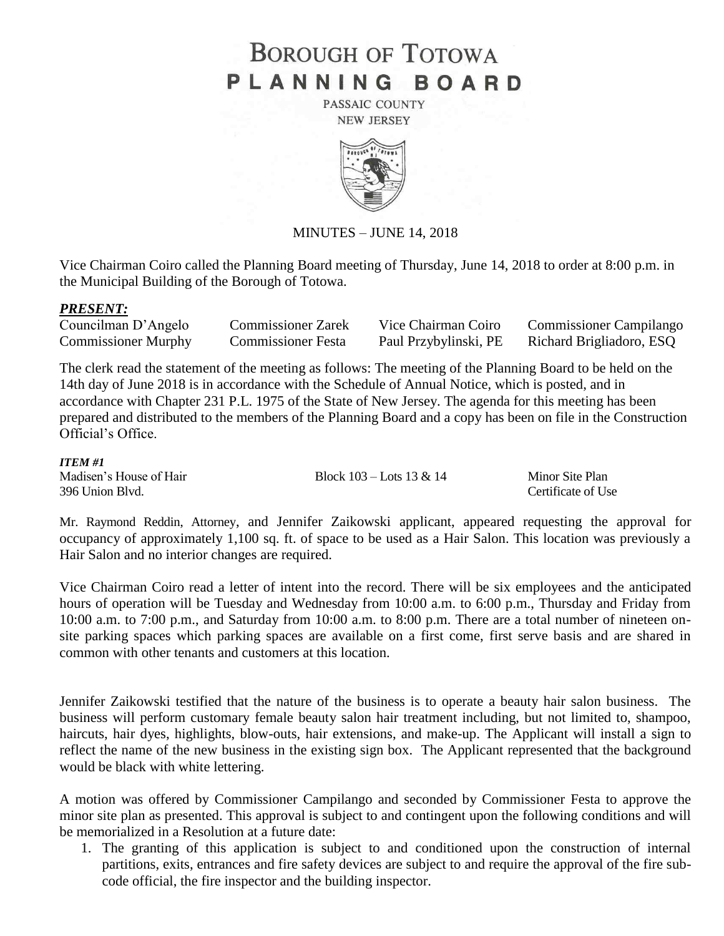# **BOROUGH OF TOTOWA** PLANNING BOARD

PASSAIC COUNTY **NEW JERSEY** 



MINUTES – JUNE 14, 2018

Vice Chairman Coiro called the Planning Board meeting of Thursday, June 14, 2018 to order at 8:00 p.m. in the Municipal Building of the Borough of Totowa.

#### *PRESENT:*

| Councilman D'Angelo        | <b>Commissioner Zarek</b> | Vice Chairman Coiro   | <b>Commissioner Campilango</b> |
|----------------------------|---------------------------|-----------------------|--------------------------------|
| <b>Commissioner Murphy</b> | <b>Commissioner Festa</b> | Paul Przybylinski, PE | Richard Brigliadoro, ESQ       |

The clerk read the statement of the meeting as follows: The meeting of the Planning Board to be held on the 14th day of June 2018 is in accordance with the Schedule of Annual Notice, which is posted, and in accordance with Chapter 231 P.L. 1975 of the State of New Jersey. The agenda for this meeting has been prepared and distributed to the members of the Planning Board and a copy has been on file in the Construction Official's Office.

### *ITEM #1*

| $11$ $E/M$ $\pi$ $1$    |                              |                    |
|-------------------------|------------------------------|--------------------|
| Madisen's House of Hair | Block $103 -$ Lots $13 & 14$ | Minor Site Plan    |
| 396 Union Blvd.         |                              | Certificate of Use |

Mr. Raymond Reddin, Attorney, and Jennifer Zaikowski applicant, appeared requesting the approval for occupancy of approximately 1,100 sq. ft. of space to be used as a Hair Salon. This location was previously a Hair Salon and no interior changes are required.

Vice Chairman Coiro read a letter of intent into the record. There will be six employees and the anticipated hours of operation will be Tuesday and Wednesday from 10:00 a.m. to 6:00 p.m., Thursday and Friday from 10:00 a.m. to 7:00 p.m., and Saturday from 10:00 a.m. to 8:00 p.m. There are a total number of nineteen onsite parking spaces which parking spaces are available on a first come, first serve basis and are shared in common with other tenants and customers at this location.

Jennifer Zaikowski testified that the nature of the business is to operate a beauty hair salon business. The business will perform customary female beauty salon hair treatment including, but not limited to, shampoo, haircuts, hair dyes, highlights, blow-outs, hair extensions, and make-up. The Applicant will install a sign to reflect the name of the new business in the existing sign box. The Applicant represented that the background would be black with white lettering.

A motion was offered by Commissioner Campilango and seconded by Commissioner Festa to approve the minor site plan as presented. This approval is subject to and contingent upon the following conditions and will be memorialized in a Resolution at a future date:

1. The granting of this application is subject to and conditioned upon the construction of internal partitions, exits, entrances and fire safety devices are subject to and require the approval of the fire subcode official, the fire inspector and the building inspector.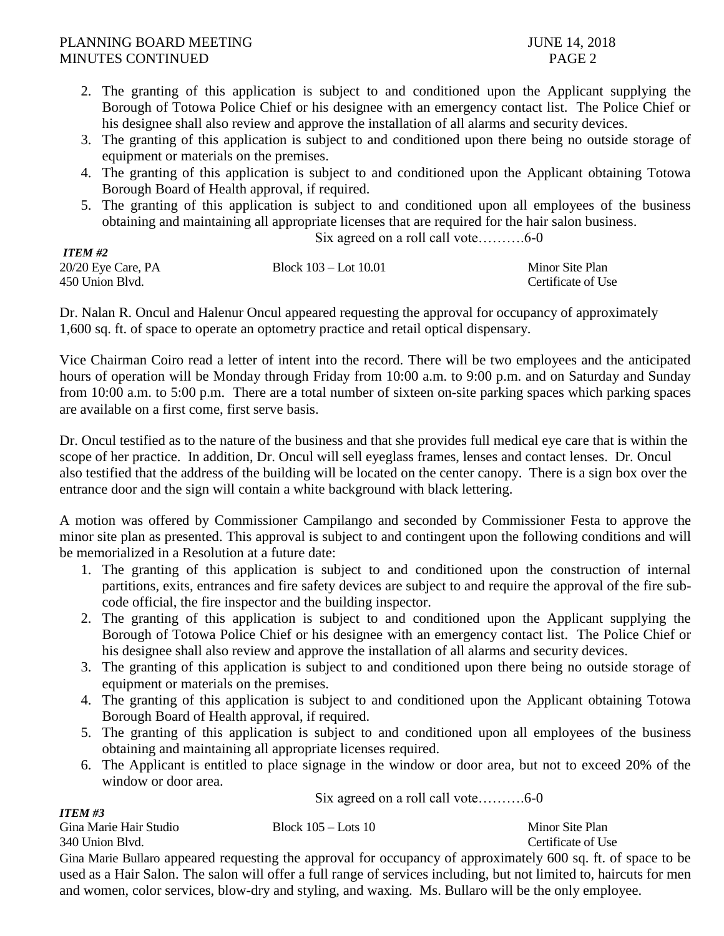- 2. The granting of this application is subject to and conditioned upon the Applicant supplying the Borough of Totowa Police Chief or his designee with an emergency contact list. The Police Chief or his designee shall also review and approve the installation of all alarms and security devices.
- 3. The granting of this application is subject to and conditioned upon there being no outside storage of equipment or materials on the premises.
- 4. The granting of this application is subject to and conditioned upon the Applicant obtaining Totowa Borough Board of Health approval, if required.
- 5. The granting of this application is subject to and conditioned upon all employees of the business obtaining and maintaining all appropriate licenses that are required for the hair salon business.

Six agreed on a roll call vote……….6-0

| <b>ITEM #2</b>     |                           |                    |
|--------------------|---------------------------|--------------------|
| 20/20 Eye Care, PA | Block $103 -$ Lot $10.01$ | Minor Site Plan    |
| 450 Union Blvd.    |                           | Certificate of Use |

Dr. Nalan R. Oncul and Halenur Oncul appeared requesting the approval for occupancy of approximately 1,600 sq. ft. of space to operate an optometry practice and retail optical dispensary.

Vice Chairman Coiro read a letter of intent into the record. There will be two employees and the anticipated hours of operation will be Monday through Friday from 10:00 a.m. to 9:00 p.m. and on Saturday and Sunday from 10:00 a.m. to 5:00 p.m. There are a total number of sixteen on-site parking spaces which parking spaces are available on a first come, first serve basis.

Dr. Oncul testified as to the nature of the business and that she provides full medical eye care that is within the scope of her practice. In addition, Dr. Oncul will sell eyeglass frames, lenses and contact lenses. Dr. Oncul also testified that the address of the building will be located on the center canopy. There is a sign box over the entrance door and the sign will contain a white background with black lettering.

A motion was offered by Commissioner Campilango and seconded by Commissioner Festa to approve the minor site plan as presented. This approval is subject to and contingent upon the following conditions and will be memorialized in a Resolution at a future date:

- 1. The granting of this application is subject to and conditioned upon the construction of internal partitions, exits, entrances and fire safety devices are subject to and require the approval of the fire subcode official, the fire inspector and the building inspector.
- 2. The granting of this application is subject to and conditioned upon the Applicant supplying the Borough of Totowa Police Chief or his designee with an emergency contact list. The Police Chief or his designee shall also review and approve the installation of all alarms and security devices.
- 3. The granting of this application is subject to and conditioned upon there being no outside storage of equipment or materials on the premises.
- 4. The granting of this application is subject to and conditioned upon the Applicant obtaining Totowa Borough Board of Health approval, if required.
- 5. The granting of this application is subject to and conditioned upon all employees of the business obtaining and maintaining all appropriate licenses required.
- 6. The Applicant is entitled to place signage in the window or door area, but not to exceed 20% of the window or door area.

Six agreed on a roll call vote……….6-0

*ITEM #3* Gina Marie Hair Studio Block 105 – Lots 10 Minor Site Plan 340 Union Blvd. Certificate of Use Gina Marie Bullaro appeared requesting the approval for occupancy of approximately 600 sq. ft. of space to be

## used as a Hair Salon. The salon will offer a full range of services including, but not limited to, haircuts for men and women, color services, blow-dry and styling, and waxing. Ms. Bullaro will be the only employee.